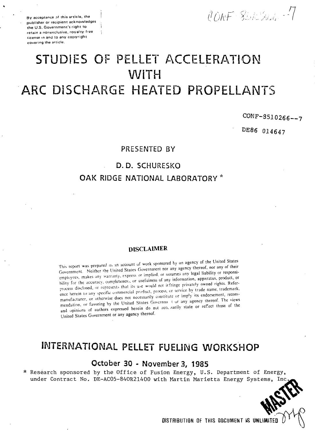publisher or recipient acknowledges the U.S. Government's right to I retain a nonexclusive, royalty-free • license in and to any copyright covering the article.

By acceptance of this article, the I is acceptance of this article, the I is a set of  $\langle \hat{I}/\rangle$  ,  $\langle \hat{I}+\hat{S}^2\rangle$  ,  $\langle \hat{I}+\hat{S}^2\rangle$  ,  $\langle \hat{I}+\hat{S}^2\rangle$  ,  $\langle \hat{I}+\hat{S}^2\rangle$ 

# STUDIES OF PELLET ACCELERATION WiTH ARC DISCHARGE HEATED PROPELLANTS

### CONF-8510266—7

DE86 014647

#### PRESENTED BY

#### D. D. SCHURESKO

#### OAK RIDGE NATIONAL LABORATORY **\***

#### DISCLAIMER

This report was prepared as an account of work sponsored by an agency of the United States Government. Neither the United States Government nor any agency thereof, nor any of their employees, makes any warranty, express or implied, or assumes any legal liability or responsibility for the accuracy, completeness, or usefulness of any information, apparatus, product, or process disclosed, or represents that its u.e would not ir fringe privately owned rights. Reference herein to any specific commercial product, process, or service by trade name, trademark, endormal intervention of the manufacture of the manufacturer. This wish the commendation, or favoring by the United States Governme t or any agency thereof. The views and opinions of authors expressed herein do not nece sarily state or reflect those of the United States Government or any agency thereof.

## INTERNATIONAL PELLET FUELING WORKSHOP

#### October 30 - November 3, 1985

\* Research sponsored by the Office of Fusion Energy, U.S. Department of Energy, under Contract No. DE-AC05-84OR21400 with Martin Marietta Energy Systems,

**DISTRIBUTION OF THIS DOCUMENT IS UNLIMITED**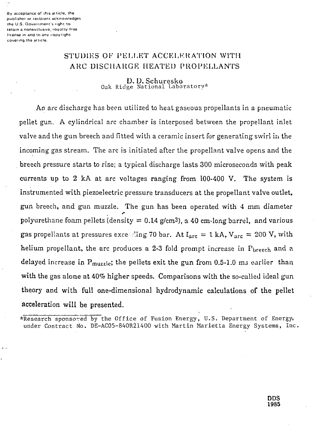By acceptance of this article, the publisher or recipient acknowledges the U.S. Government's right to retain a nonexclusive, royalty-free license in and to any copyright covering the article.

### STUDIES OF PELLET ACCELERATION WITH ARC DISCHARGE HEATED PROPELLANTS

D. D. Schuresko Oak Ridge National Laboratory\*

An arc discharge has been utilized to heat gaseous propellants in a pneumatic pellet gun. A cylindrical arc chamber is interposed between the propellant inlet valve and the gun breech and fitted with a ceramic insert for generating swirl in the incoming gas stream. The arc is initiated after the propellant valve opens and the breech pressure starts to rise; a typical discharge lasts 300 microseconds with peak currents up to 2 kA at arc voltages ranging from 100-400 V. The system is instrumented with piezoelectric pressure transducers at the propellant valve outlet, gun breech, and gun muzzle. The gun has been operated with 4 mm diameter polyurethane foam pellets (density  $= 0.14$  g/cm<sup>3</sup>), a 40 cm-long barrel, and various gas propellants at pressures exceeding 70 bar. At  $I_{\text{arc}} = 1$  kA,  $V_{\text{arc}} = 200$  V, with helium propellant, the arc produces a 2-3 fold prompt increase in  $P_{\text{breek}}$  and a delayed increase in  $P_{\text{muzzlet}}$ ; the pellets exit the gun from 0.5-1.0 ms earlier than with the gas alone at 40% higher speeds. Comparisons with the so-called ideal gun theory and with full one-dimensional hydrodynamic calculations of the pellet acceleration will be presented.

\*Research sponsored by the Office of Fusion Energy, U.S. Department of Energy, under Contract No. DE-AC05-84OR21400 with Martin Marietta Energy Systems, Inc.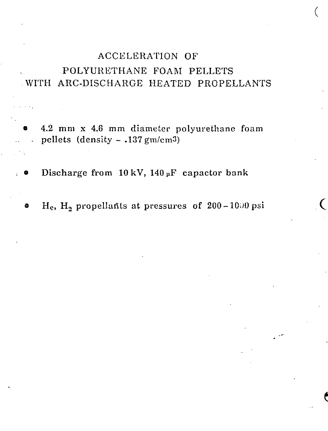# ACCELERATION OF POLYURETHANE FOAM PELLETS WITH ARC-DISCHARGE HEATED PROPELLANTS

© 4.2 mm x 4.6 mm diameter polyurethane foam  $\therefore$  pellets (density - .137 gm/cm3)

**•** Discharge from  $10 \text{ kV}$ ,  $140 \mu\text{F}$  capactor bank

 $\ddot{\phantom{0}}$ 

 $H_e$ ,  $H_2$  propellants at pressures of 200-1000 psi

(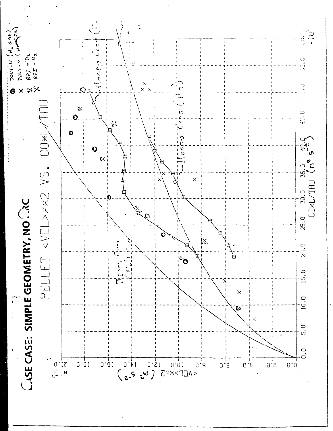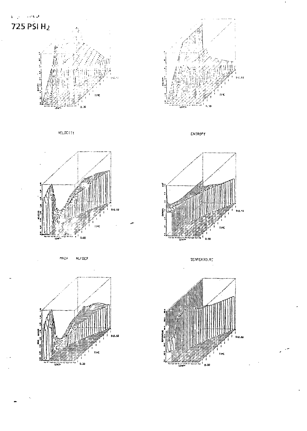





**VELOCITY** 





**NRCH NU'SER** 

10.M  $0.30$ 



TEMPERATURE

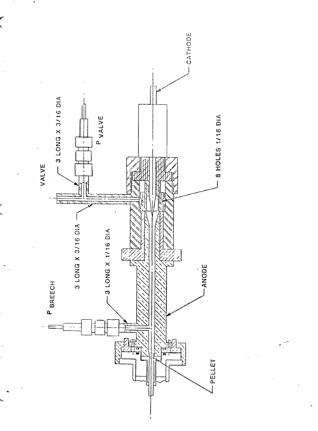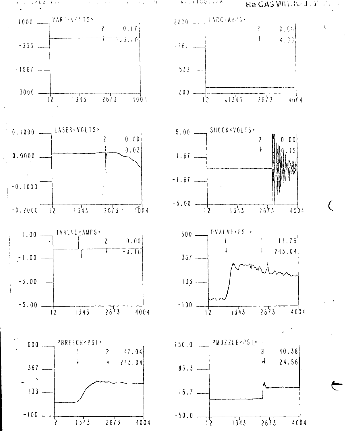いみ コンラ 不知る  $\mathbf{1}$  and  $\mathbf{1}$  Arcult GO, FRA

Re GAS WILROUT TO

 $\sqrt{2}$ 

 $\big($ 

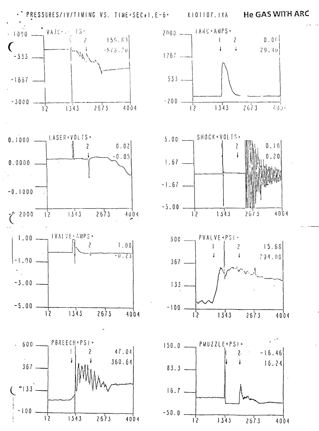· PRESSURES/IV/TIMING VS. TIME<SEC.I.E-6> KIOIIO7.IXA He GAS WITH ARC



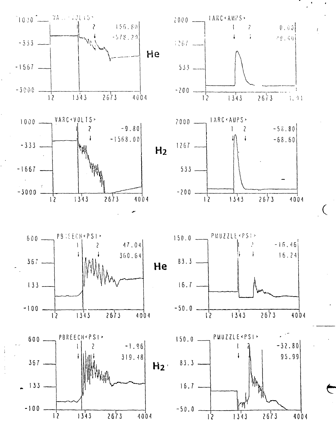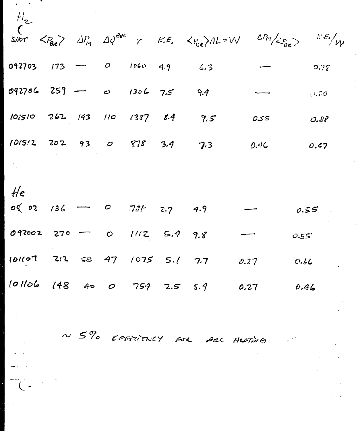| $H_{2}$                                       |  |  |                                                 |      |                                                                                                                                                                                                                                        |
|-----------------------------------------------|--|--|-------------------------------------------------|------|----------------------------------------------------------------------------------------------------------------------------------------------------------------------------------------------------------------------------------------|
|                                               |  |  |                                                 |      | SHOT $\langle P_{\text{Re}} \rangle$ $\Delta P_{\text{eq}}$ $\Delta \phi^{\text{osc}}$ $\gamma$ $\kappa \in \langle P_{\text{ca}} \rangle$ AL=W $\Delta P_{\text{eq}} / \langle P_{\text{inc}} \rangle$ $\kappa \in \langle V \rangle$ |
| $092703$ $173$ $-$ 0 $1060$ $9.9$             |  |  | 6.3                                             |      | 5.78                                                                                                                                                                                                                                   |
| $092706 259 - 0 1306 7.5 9.4$                 |  |  |                                                 |      | 0.70                                                                                                                                                                                                                                   |
| $101510$ $262$ $143$ $110$ $1387$ $8.4$ $9.5$ |  |  |                                                 | 0.55 | 0.88                                                                                                                                                                                                                                   |
| $1015:2$ $202$ $93$ $0$ $878$ $3.4$ $7.3$     |  |  |                                                 | 0.46 | 0.47                                                                                                                                                                                                                                   |
|                                               |  |  |                                                 |      |                                                                                                                                                                                                                                        |
| He                                            |  |  |                                                 |      |                                                                                                                                                                                                                                        |
| $o(02 \t/36 \t - 0 \t 731 \t 2.7 \t 4.9$      |  |  |                                                 |      | 0.55                                                                                                                                                                                                                                   |
| 092002 270 - 0 1112 5.4 9.8                   |  |  |                                                 |      | 0.55                                                                                                                                                                                                                                   |
|                                               |  |  | 101107 212 53 47 1075 5.1 7.7 0.27              |      | 0.66                                                                                                                                                                                                                                   |
|                                               |  |  | $10106$ $148$ $40$ $0$ $759$ $7.5$ $5.9$ $0.27$ |      | 0.46                                                                                                                                                                                                                                   |

N 5% EFFICIENCY FOR ARC HEATING

 $\mathbb{Z}$ 

 $\frac{1}{\sqrt{2}}\sum_{i=1}^{n}$ 

 $\ddot{\phantom{0}}$ 

 $\mathcal{L}^{(1,2)}$